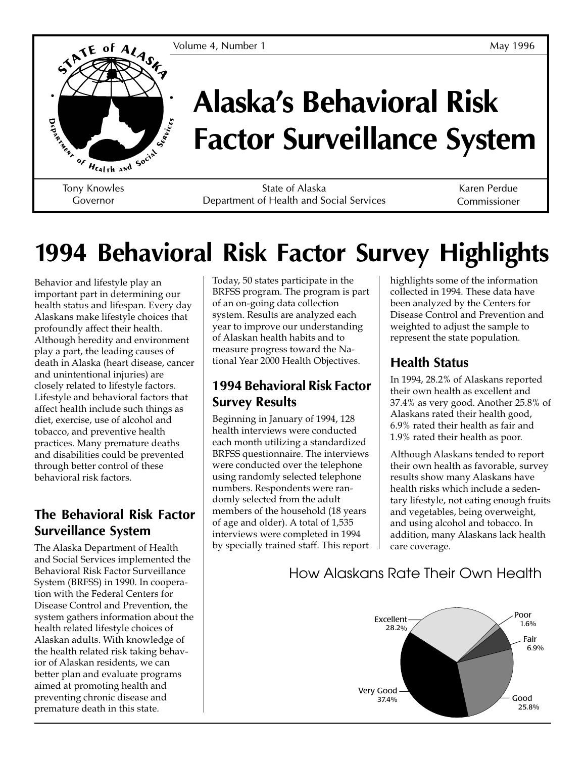

# **Alaska's Behavioral Risk Factor Surveillance System**

Governor

State of Alaska Department of Health and Social Services

Karen Perdue Commissioner

# **1994 Behavioral Risk Factor Survey Highlights**

Behavior and lifestyle play an important part in determining our health status and lifespan. Every day Alaskans make lifestyle choices that profoundly affect their health. Although heredity and environment play a part, the leading causes of death in Alaska (heart disease, cancer and unintentional injuries) are closely related to lifestyle factors. Lifestyle and behavioral factors that affect health include such things as diet, exercise, use of alcohol and tobacco, and preventive health practices. Many premature deaths and disabilities could be prevented through better control of these behavioral risk factors.

#### **The Behavioral Risk Factor Surveillance System**

The Alaska Department of Health and Social Services implemented the Behavioral Risk Factor Surveillance System (BRFSS) in 1990. In cooperation with the Federal Centers for Disease Control and Prevention, the system gathers information about the health related lifestyle choices of Alaskan adults. With knowledge of the health related risk taking behavior of Alaskan residents, we can better plan and evaluate programs aimed at promoting health and preventing chronic disease and premature death in this state.

Today, 50 states participate in the BRFSS program. The program is part of an on-going data collection system. Results are analyzed each year to improve our understanding of Alaskan health habits and to measure progress toward the National Year 2000 Health Objectives.

#### **1994 Behavioral Risk Factor Survey Results**

Beginning in January of 1994, 128 health interviews were conducted each month utilizing a standardized BRFSS questionnaire. The interviews were conducted over the telephone using randomly selected telephone numbers. Respondents were randomly selected from the adult members of the household (18 years of age and older). A total of 1,535 interviews were completed in 1994 by specially trained staff. This report highlights some of the information collected in 1994. These data have been analyzed by the Centers for Disease Control and Prevention and weighted to adjust the sample to represent the state population.

### **Health Status**

In 1994, 28.2% of Alaskans reported their own health as excellent and 37.4% as very good. Another 25.8% of Alaskans rated their health good, 6.9% rated their health as fair and 1.9% rated their health as poor.

Although Alaskans tended to report their own health as favorable, survey results show many Alaskans have health risks which include a sedentary lifestyle, not eating enough fruits and vegetables, being overweight, and using alcohol and tobacco. In addition, many Alaskans lack health care coverage.



### How Alaskans Rate Their Own Health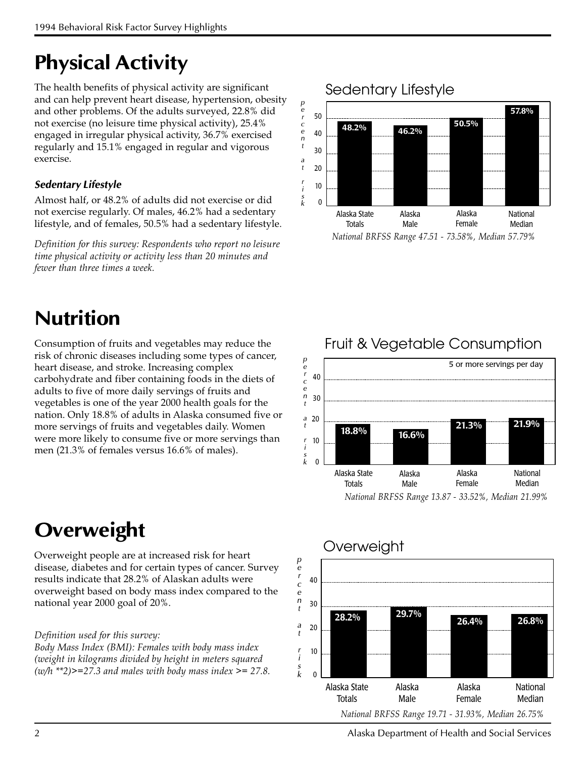## **Physical Activity**

The health benefits of physical activity are significant and can help prevent heart disease, hypertension, obesity and other problems. Of the adults surveyed, 22.8% did not exercise (no leisure time physical activity), 25.4% engaged in irregular physical activity, 36.7% exercised regularly and 15.1% engaged in regular and vigorous exercise.

#### *Sedentary Lifestyle*

Almost half, or 48.2% of adults did not exercise or did not exercise regularly. Of males, 46.2% had a sedentary lifestyle, and of females, 50.5% had a sedentary lifestyle.

Definition for this survey: Respondents who report no leisure time physical activity or activity less than 20 minutes and fewer than three times a week.

## **Nutrition**

Consumption of fruits and vegetables may reduce the risk of chronic diseases including some types of cancer, heart disease, and stroke. Increasing complex carbohydrate and fiber containing foods in the diets of adults to five of more daily servings of fruits and vegetables is one of the year 2000 health goals for the nation. Only 18.8% of adults in Alaska consumed five or more servings of fruits and vegetables daily. Women were more likely to consume five or more servings than men (21.3% of females versus 16.6% of males).

## **Overweight**

Overweight people are at increased risk for heart disease, diabetes and for certain types of cancer. Survey results indicate that 28.2% of Alaskan adults were overweight based on body mass index compared to the national year 2000 goal of 20%.

#### Definition used for this survey:

Body Mass Index (BMI): Females with body mass index (weight in kilograms divided by height in meters squared  $(w/h *2)$  >=27.3 and males with body mass index >= 27.8.



National BRFSS Range 47.51 - 73.58%, Median 57.79%



## Fruit & Vegetable Consumption



### Overweight

2 Alaska Department of Health and Social Services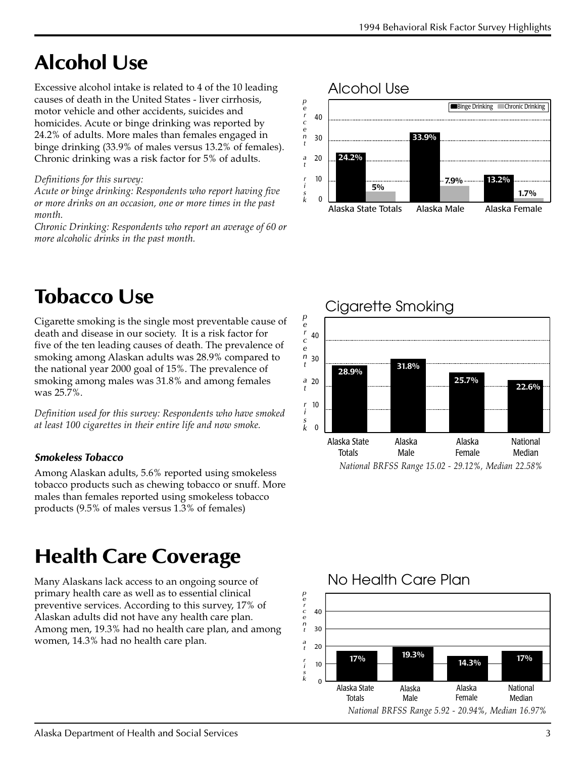## **Alcohol Use**

Excessive alcohol intake is related to 4 of the 10 leading causes of death in the United States - liver cirrhosis, motor vehicle and other accidents, suicides and homicides. Acute or binge drinking was reported by 24.2% of adults. More males than females engaged in binge drinking (33.9% of males versus 13.2% of females). Chronic drinking was a risk factor for 5% of adults.

#### Definitions for this survey:

Acute or binge drinking: Respondents who report having five or more drinks on an occasion, one or more times in the past month.

Chronic Drinking: Respondents who report an average of 60 or more alcoholic drinks in the past month.

## **Tobacco Use**

Cigarette smoking is the single most preventable cause of death and disease in our society. It is a risk factor for five of the ten leading causes of death. The prevalence of smoking among Alaskan adults was 28.9% compared to the national year 2000 goal of 15%. The prevalence of smoking among males was 31.8% and among females was 25.7%.

Definition used for this survey: Respondents who have smoked at least 100 cigarettes in their entire life and now smoke.

#### *Smokeless Tobacco*

Among Alaskan adults, 5.6% reported using smokeless tobacco products such as chewing tobacco or snuff. More males than females reported using smokeless tobacco products (9.5% of males versus 1.3% of females)

## **Health Care Coverage**

Many Alaskans lack access to an ongoing source of primary health care as well as to essential clinical preventive services. According to this survey, 17% of Alaskan adults did not have any health care plan. Among men, 19.3% had no health care plan, and among women, 14.3% had no health care plan.







#### No Health Care Plan